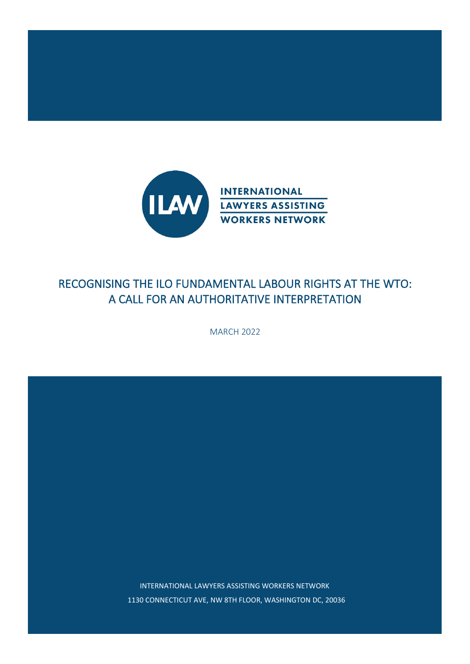

# RECOGNISING THE ILO FUNDAMENTAL LABOUR RIGHTS AT THE WTO: A CALL FOR AN AUTHORITATIVE INTERPRETATION

MARCH 2022

INTERNATIONAL LAWYERS ASSISTING WORKERS NETWORK 1130 CONNECTICUT AVE, NW 8TH FLOOR, WASHINGTON DC, 20036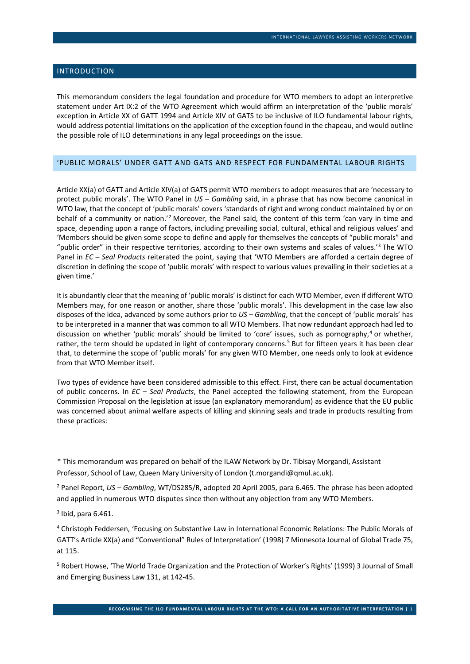# INTRODUCTION

This memorandum considers the legal foundation and procedure for WTO members to adopt an interpretive statement under Art IX:2 of the WTO Agreement which would affirm an interpretation of the 'public morals' exception in Article XX of GATT 1994 and Article XIV of GATS to be inclusive of ILO fundamental labour rights, would address potential limitations on the application of the exception found in the chapeau, and would outline the possible role of ILO determinations in any legal proceedings on the issue.

# 'PUBLIC MORALS' UNDER GATT AND GATS AND RESPECT FOR FUNDAMENTAL LABOUR RIGHTS

Article XX(a) of GATT and Article XIV(a) of GATS permit WTO members to adopt measures that are 'necessary to protect public morals'. The WTO Panel in *US – Gambling* said, in a phrase that has now become canonical in WTO law, that the concept of 'public morals' covers 'standards of right and wrong conduct maintained by or on behalf of a community or nation.'[2](#page-1-1) Moreover, the Panel said, the content of this term 'can vary in time and space, depending upon a range of factors, including prevailing social, cultural, ethical and religious values' and 'Members should be given some scope to define and apply for themselves the concepts of "public morals" and "public order" in their respective territories, according to their own systems and scales of values.'[3](#page-1-2) The WTO Panel in *EC – Seal Products* reiterated the point, saying that 'WTO Members are afforded a certain degree of discretion in defining the scope of 'public morals' with respect to various values prevailing in their societies at a given time.'

It is abundantly clear that the meaning of 'public morals' is distinct for each WTO Member, even if different WTO Members may, for one reason or another, share those 'public morals'. This development in the case law also disposes of the idea, advanced by some authors prior to *US – Gambling*, that the concept of 'public morals' has to be interpreted in a manner that was common to all WTO Members. That now redundant approach had led to discussion on whether 'public morals' should be limited to 'core' issues, such as pornography, [4](#page-1-3) or whether, rather, the term should be updated in light of contemporary concerns.<sup>[5](#page-1-4)</sup> But for fifteen years it has been clear that, to determine the scope of 'public morals' for any given WTO Member, one needs only to look at evidence from that WTO Member itself.

Two types of evidence have been considered admissible to this effect. First, there can be actual documentation of public concerns. In *EC – Seal Products*, the Panel accepted the following statement, from the European Commission Proposal on the legislation at issue (an explanatory memorandum) as evidence that the EU public was concerned about animal welfare aspects of killing and skinning seals and trade in products resulting from these practices:

<span id="page-1-0"></span><sup>1\*</sup> This memorandum was prepared on behalf of the ILAW Network by Dr. Tibisay Morgandi, Assistant Professor, School of Law, Queen Mary University of London (t.morgandi@qmul.ac.uk).

<span id="page-1-1"></span><sup>2</sup> Panel Report, *US – Gambling*, WT/DS285/R, adopted 20 April 2005, para 6.465. The phrase has been adopted and applied in numerous WTO disputes since then without any objection from any WTO Members.

<span id="page-1-2"></span> $3$  Ibid, para 6.461.

<span id="page-1-3"></span><sup>4</sup> Christoph Feddersen, 'Focusing on Substantive Law in International Economic Relations: The Public Morals of GATT's Article XX(a) and "Conventional" Rules of Interpretation' (1998) 7 Minnesota Journal of Global Trade 75, at 115.

<span id="page-1-4"></span><sup>5</sup> Robert Howse, 'The World Trade Organization and the Protection of Worker's Rights' (1999) 3 Journal of Small and Emerging Business Law 131, at 142-45.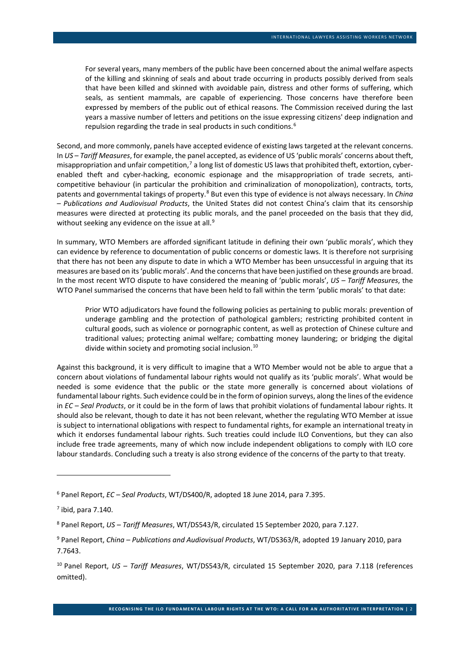For several years, many members of the public have been concerned about the animal welfare aspects of the killing and skinning of seals and about trade occurring in products possibly derived from seals that have been killed and skinned with avoidable pain, distress and other forms of suffering, which seals, as sentient mammals, are capable of experiencing. Those concerns have therefore been expressed by members of the public out of ethical reasons. The Commission received during the last years a massive number of letters and petitions on the issue expressing citizens' deep indignation and repulsion regarding the trade in seal products in such conditions.[6](#page-2-0)

Second, and more commonly, panels have accepted evidence of existing laws targeted at the relevant concerns. In *US – Tariff Measures*, for example, the panel accepted, as evidence of US 'public morals' concerns about theft, misappropriation and unfair competition,<sup>[7](#page-2-1)</sup> a long list of domestic US laws that prohibited theft, extortion, cyberenabled theft and cyber-hacking, economic espionage and the misappropriation of trade secrets, anticompetitive behaviour (in particular the prohibition and criminalization of monopolization), contracts, torts, patents and governmental takings of property.[8](#page-2-2) But even this type of evidence is not always necessary. In *China – Publications and Audiovisual Products*, the United States did not contest China's claim that its censorship measures were directed at protecting its public morals, and the panel proceeded on the basis that they did, without seeking any evidence on the issue at all.<sup>[9](#page-2-3)</sup>

In summary, WTO Members are afforded significant latitude in defining their own 'public morals', which they can evidence by reference to documentation of public concerns or domestic laws. It is therefore not surprising that there has not been any dispute to date in which a WTO Member has been unsuccessful in arguing that its measures are based on its 'public morals'. And the concerns that have been justified on these grounds are broad. In the most recent WTO dispute to have considered the meaning of 'public morals', *US – Tariff Measures*, the WTO Panel summarised the concerns that have been held to fall within the term 'public morals' to that date:

Prior WTO adjudicators have found the following policies as pertaining to public morals: prevention of underage gambling and the protection of pathological gamblers; restricting prohibited content in cultural goods, such as violence or pornographic content, as well as protection of Chinese culture and traditional values; protecting animal welfare; combatting money laundering; or bridging the digital divide within society and promoting social inclusion.<sup>[10](#page-2-4)</sup>

Against this background, it is very difficult to imagine that a WTO Member would not be able to argue that a concern about violations of fundamental labour rights would not qualify as its 'public morals'. What would be needed is some evidence that the public or the state more generally is concerned about violations of fundamental labour rights. Such evidence could be in the form of opinion surveys, along the lines of the evidence in *EC – Seal Products*, or it could be in the form of laws that prohibit violations of fundamental labour rights. It should also be relevant, though to date it has not been relevant, whether the regulating WTO Member at issue is subject to international obligations with respect to fundamental rights, for example an international treaty in which it endorses fundamental labour rights. Such treaties could include ILO Conventions, but they can also include free trade agreements, many of which now include independent obligations to comply with ILO core labour standards. Concluding such a treaty is also strong evidence of the concerns of the party to that treaty.

<span id="page-2-0"></span><sup>6</sup> Panel Report, *EC – Seal Products*, WT/DS400/R, adopted 18 June 2014, para 7.395.

<span id="page-2-1"></span> $<sup>7</sup>$  ibid, para 7.140.</sup>

<span id="page-2-2"></span><sup>8</sup> Panel Report, *US – Tariff Measures*, WT/DS543/R, circulated 15 September 2020, para 7.127.

<span id="page-2-3"></span><sup>9</sup> Panel Report, *China – Publications and Audiovisual Products*, WT/DS363/R, adopted 19 January 2010, para 7.7643.

<span id="page-2-4"></span><sup>10</sup> Panel Report, *US – Tariff Measures*, WT/DS543/R, circulated 15 September 2020, para 7.118 (references omitted).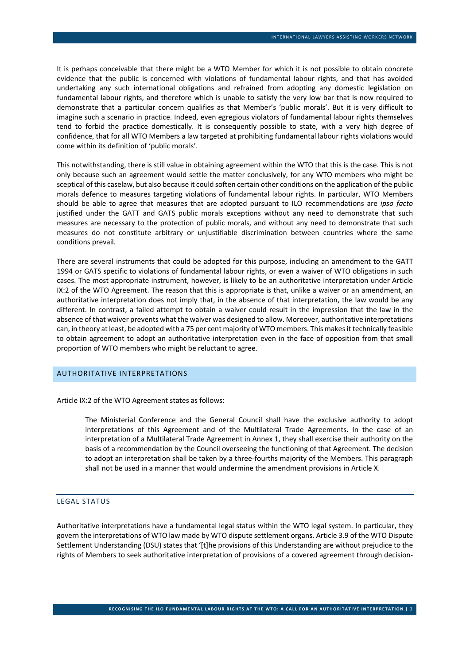It is perhaps conceivable that there might be a WTO Member for which it is not possible to obtain concrete evidence that the public is concerned with violations of fundamental labour rights, and that has avoided undertaking any such international obligations and refrained from adopting any domestic legislation on fundamental labour rights, and therefore which is unable to satisfy the very low bar that is now required to demonstrate that a particular concern qualifies as that Member's 'public morals'. But it is very difficult to imagine such a scenario in practice. Indeed, even egregious violators of fundamental labour rights themselves tend to forbid the practice domestically. It is consequently possible to state, with a very high degree of confidence, that for all WTO Members a law targeted at prohibiting fundamental labour rights violations would come within its definition of 'public morals'.

This notwithstanding, there is still value in obtaining agreement within the WTO that this is the case. This is not only because such an agreement would settle the matter conclusively, for any WTO members who might be sceptical of this caselaw, but also because it could soften certain other conditions on the application of the public morals defence to measures targeting violations of fundamental labour rights. In particular, WTO Members should be able to agree that measures that are adopted pursuant to ILO recommendations are *ipso facto* justified under the GATT and GATS public morals exceptions without any need to demonstrate that such measures are necessary to the protection of public morals, and without any need to demonstrate that such measures do not constitute arbitrary or unjustifiable discrimination between countries where the same conditions prevail.

There are several instruments that could be adopted for this purpose, including an amendment to the GATT 1994 or GATS specific to violations of fundamental labour rights, or even a waiver of WTO obligations in such cases. The most appropriate instrument, however, is likely to be an authoritative interpretation under Article IX:2 of the WTO Agreement. The reason that this is appropriate is that, unlike a waiver or an amendment, an authoritative interpretation does not imply that, in the absence of that interpretation, the law would be any different. In contrast, a failed attempt to obtain a waiver could result in the impression that the law in the absence of that waiver prevents what the waiver was designed to allow. Moreover, authoritative interpretations can, in theory at least, be adopted with a 75 per cent majority of WTO members. This makes it technically feasible to obtain agreement to adopt an authoritative interpretation even in the face of opposition from that small proportion of WTO members who might be reluctant to agree.

### AUTHORITATIVE INTERPRETATIONS

Article IX:2 of the WTO Agreement states as follows:

 The Ministerial Conference and the General Council shall have the exclusive authority to adopt interpretations of this Agreement and of the Multilateral Trade Agreements. In the case of an interpretation of a Multilateral Trade Agreement in Annex 1, they shall exercise their authority on the basis of a recommendation by the Council overseeing the functioning of that Agreement. The decision to adopt an interpretation shall be taken by a three-fourths majority of the Members. This paragraph shall not be used in a manner that would undermine the amendment provisions in Article X.

#### LEGAL STATUS

Authoritative interpretations have a fundamental legal status within the WTO legal system. In particular, they govern the interpretations of WTO law made by WTO dispute settlement organs. Article 3.9 of the WTO Dispute Settlement Understanding (DSU) states that '[t]he provisions of this Understanding are without prejudice to the rights of Members to seek authoritative interpretation of provisions of a covered agreement through decision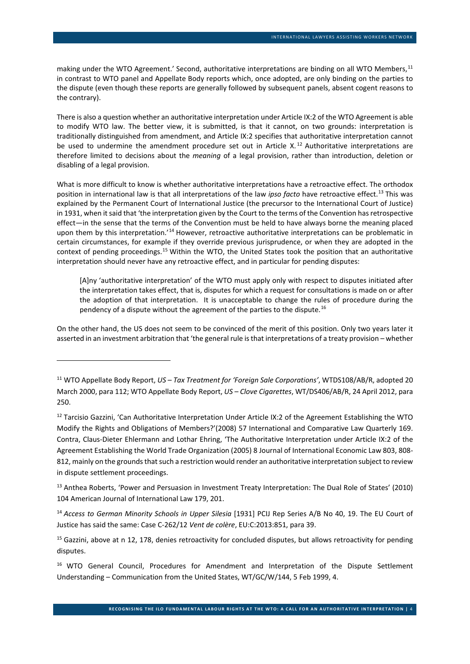<span id="page-4-7"></span>making under the WTO Agreement.' Second, authoritative interpretations are binding on all WTO Members, <sup>[11](#page-4-1)</sup> in contrast to WTO panel and Appellate Body reports which, once adopted, are only binding on the parties to the dispute (even though these reports are generally followed by subsequent panels, absent cogent reasons to the contrary).

<span id="page-4-0"></span>There is also a question whether an authoritative interpretation under Article IX:2 of the WTO Agreement is able to modify WTO law. The better view, it is submitted, is that it cannot, on two grounds: interpretation is traditionally distinguished from amendment, and Article IX:2 specifies that authoritative interpretation cannot be used to undermine the amendment procedure set out in Article X.<sup>[12](#page-4-2)</sup> Authoritative interpretations are therefore limited to decisions about the *meaning* of a legal provision, rather than introduction, deletion or disabling of a legal provision.

What is more difficult to know is whether authoritative interpretations have a retroactive effect. The orthodox position in international law is that all interpretations of the law *ipso facto* have retroactive effect. [13](#page-4-3) This was explained by the Permanent Court of International Justice (the precursor to the International Court of Justice) in 1931, when it said that 'the interpretation given by the Court to the terms of the Convention has retrospective effect—in the sense that the terms of the Convention must be held to have always borne the meaning placed upon them by this interpretation.'[14](#page-4-4) However, retroactive authoritative interpretations can be problematic in certain circumstances, for example if they override previous jurisprudence, or when they are adopted in the context of pending proceedings.[15](#page-4-5) Within the WTO, the United States took the position that an authoritative interpretation should never have any retroactive effect, and in particular for pending disputes:

<span id="page-4-8"></span>[A]ny 'authoritative interpretation' of the WTO must apply only with respect to disputes initiated after the interpretation takes effect, that is, disputes for which a request for consultations is made on or after the adoption of that interpretation. It is unacceptable to change the rules of procedure during the pendency of a dispute without the agreement of the parties to the dispute.[16](#page-4-6)

On the other hand, the US does not seem to be convinced of the merit of this position. Only two years later it asserted in an investment arbitration that 'the general rule is that interpretations of a treaty provision – whether

<span id="page-4-1"></span><sup>11</sup> WTO Appellate Body Report, *US – Tax Treatment for 'Foreign Sale Corporations'*, WTDS108/AB/R, adopted 20 March 2000, para 112; WTO Appellate Body Report, *US – Clove Cigarettes*, WT/DS406/AB/R, 24 April 2012, para 250.

<span id="page-4-2"></span><sup>&</sup>lt;sup>12</sup> Tarcisio Gazzini, 'Can Authoritative Interpretation Under Article IX:2 of the Agreement Establishing the WTO Modify the Rights and Obligations of Members?'(2008) 57 International and Comparative Law Quarterly 169. Contra, Claus-Dieter Ehlermann and Lothar Ehring, 'The Authoritative Interpretation under Article IX:2 of the Agreement Establishing the World Trade Organization (2005) 8 Journal of International Economic Law 803, 808- 812, mainly on the grounds that such a restriction would render an authoritative interpretation subject to review in dispute settlement proceedings.

<span id="page-4-3"></span><sup>&</sup>lt;sup>13</sup> Anthea Roberts, 'Power and Persuasion in Investment Treaty Interpretation: The Dual Role of States' (2010) 104 American Journal of International Law 179, 201.

<span id="page-4-4"></span><sup>&</sup>lt;sup>14</sup> Access to German Minority Schools in Upper Silesia [1931] PCIJ Rep Series A/B No 40, 19. The EU Court of Justice has said the same: Case C-262/12 *Vent de colère*, EU:C:2013:851, para 39.

<span id="page-4-5"></span> $15$  Gazzini, above at n [12,](#page-4-0) 178, denies retroactivity for concluded disputes, but allows retroactivity for pending disputes.

<span id="page-4-6"></span><sup>&</sup>lt;sup>16</sup> WTO General Council, Procedures for Amendment and Interpretation of the Dispute Settlement Understanding – Communication from the United States, WT/GC/W/144, 5 Feb 1999, 4.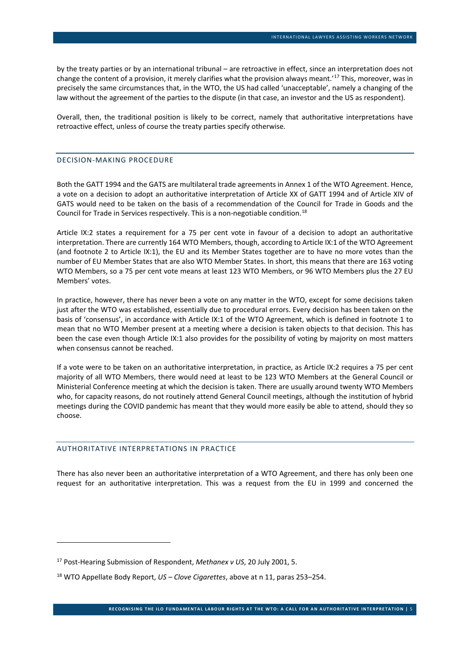by the treaty parties or by an international tribunal – are retroactive in effect, since an interpretation does not change the content of a provision, it merely clarifies what the provision always meant.'[17](#page-5-0) This, moreover, was in precisely the same circumstances that, in the WTO, the US had called 'unacceptable', namely a changing of the law without the agreement of the parties to the dispute (in that case, an investor and the US as respondent).

Overall, then, the traditional position is likely to be correct, namely that authoritative interpretations have retroactive effect, unless of course the treaty parties specify otherwise.

## DECISION-MAKING PROCEDURE

Both the GATT 1994 and the GATS are multilateral trade agreements in Annex 1 of the WTO Agreement. Hence, a vote on a decision to adopt an authoritative interpretation of Article XX of GATT 1994 and of Article XIV of GATS would need to be taken on the basis of a recommendation of the Council for Trade in Goods and the Council for Trade in Services respectively. This is a non-negotiable condition.<sup>[18](#page-5-1)</sup>

Article IX:2 states a requirement for a 75 per cent vote in favour of a decision to adopt an authoritative interpretation. There are currently 164 WTO Members, though, according to Article IX:1 of the WTO Agreement (and footnote 2 to Article IX:1), the EU and its Member States together are to have no more votes than the number of EU Member States that are also WTO Member States. In short, this means that there are 163 voting WTO Members, so a 75 per cent vote means at least 123 WTO Members, or 96 WTO Members plus the 27 EU Members' votes.

In practice, however, there has never been a vote on any matter in the WTO, except for some decisions taken just after the WTO was established, essentially due to procedural errors. Every decision has been taken on the basis of 'consensus', in accordance with Article IX:1 of the WTO Agreement, which is defined in footnote 1 to mean that no WTO Member present at a meeting where a decision is taken objects to that decision. This has been the case even though Article IX:1 also provides for the possibility of voting by majority on most matters when consensus cannot be reached.

If a vote were to be taken on an authoritative interpretation, in practice, as Article IX:2 requires a 75 per cent majority of all WTO Members, there would need at least to be 123 WTO Members at the General Council or Ministerial Conference meeting at which the decision is taken. There are usually around twenty WTO Members who, for capacity reasons, do not routinely attend General Council meetings, although the institution of hybrid meetings during the COVID pandemic has meant that they would more easily be able to attend, should they so choose.

#### AUTHORITATIVE INTERPRETATIONS IN PRACTICE

There has also never been an authoritative interpretation of a WTO Agreement, and there has only been one request for an authoritative interpretation. This was a request from the EU in 1999 and concerned the

<span id="page-5-0"></span><sup>17</sup> Post-Hearing Submission of Respondent, *Methanex v US*, 20 July 2001, 5.

<span id="page-5-1"></span><sup>18</sup> WTO Appellate Body Report, *US – Clove Cigarettes*, above at [n 11,](#page-4-7) paras 253–254.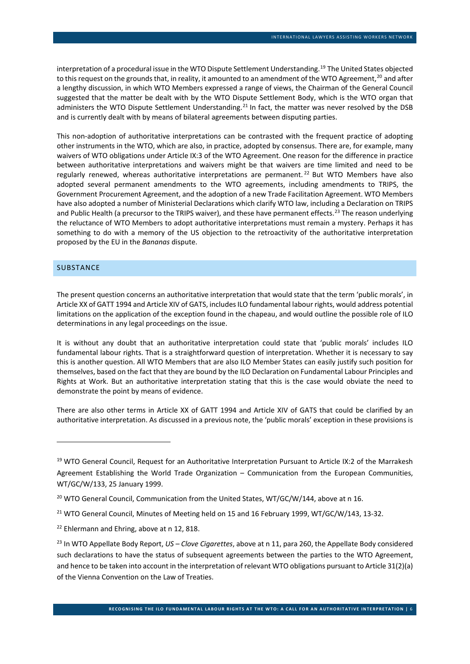interpretation of a procedural issue in the WTO Dispute Settlement Understanding.<sup>[19](#page-6-0)</sup> The United States objected to this request on the grounds that, in reality, it amounted to an amendment of the WTO Agreement,<sup>[20](#page-6-1)</sup> and after a lengthy discussion, in which WTO Members expressed a range of views, the Chairman of the General Council suggested that the matter be dealt with by the WTO Dispute Settlement Body, which is the WTO organ that administers the WTO Dispute Settlement Understanding.<sup>[21](#page-6-2)</sup> In fact, the matter was never resolved by the DSB and is currently dealt with by means of bilateral agreements between disputing parties.

This non-adoption of authoritative interpretations can be contrasted with the frequent practice of adopting other instruments in the WTO, which are also, in practice, adopted by consensus. There are, for example, many waivers of WTO obligations under Article IX:3 of the WTO Agreement. One reason for the difference in practice between authoritative interpretations and waivers might be that waivers are time limited and need to be regularly renewed, whereas authoritative interpretations are permanent.<sup>[22](#page-6-3)</sup> But WTO Members have also adopted several permanent amendments to the WTO agreements, including amendments to TRIPS, the Government Procurement Agreement, and the adoption of a new Trade Facilitation Agreement. WTO Members have also adopted a number of Ministerial Declarations which clarify WTO law, including a Declaration on TRIPS and Public Health (a precursor to the TRIPS waiver), and these have permanent effects.<sup>[23](#page-6-4)</sup> The reason underlying the reluctance of WTO Members to adopt authoritative interpretations must remain a mystery. Perhaps it has something to do with a memory of the US objection to the retroactivity of the authoritative interpretation proposed by the EU in the *Bananas* dispute.

## SUBSTANCE

The present question concerns an authoritative interpretation that would state that the term 'public morals', in Article XX of GATT 1994 and Article XIV of GATS, includes ILO fundamental labour rights, would address potential limitations on the application of the exception found in the chapeau, and would outline the possible role of ILO determinations in any legal proceedings on the issue.

It is without any doubt that an authoritative interpretation could state that 'public morals' includes ILO fundamental labour rights. That is a straightforward question of interpretation. Whether it is necessary to say this is another question. All WTO Members that are also ILO Member States can easily justify such position for themselves, based on the fact that they are bound by the ILO Declaration on Fundamental Labour Principles and Rights at Work. But an authoritative interpretation stating that this is the case would obviate the need to demonstrate the point by means of evidence.

There are also other terms in Article XX of GATT 1994 and Article XIV of GATS that could be clarified by an authoritative interpretation. As discussed in a previous note, the 'public morals' exception in these provisions is

<span id="page-6-0"></span><sup>&</sup>lt;sup>19</sup> WTO General Council, Request for an Authoritative Interpretation Pursuant to Article IX:2 of the Marrakesh Agreement Establishing the World Trade Organization – Communication from the European Communities, WT/GC/W/133, 25 January 1999.

<span id="page-6-1"></span><sup>&</sup>lt;sup>20</sup> WTO General Council, Communication from the United States, WT/GC/W/144, above at [n 16.](#page-4-8)

<span id="page-6-2"></span><sup>&</sup>lt;sup>21</sup> WTO General Council, Minutes of Meeting held on 15 and 16 February 1999, WT/GC/W/143, 13-32.

<span id="page-6-3"></span><sup>&</sup>lt;sup>22</sup> Ehlermann and Ehring, above at [n 12,](#page-4-0) 818.

<span id="page-6-4"></span><sup>23</sup> In WTO Appellate Body Report, *US – Clove Cigarettes*, above at n [11,](#page-4-7) para 260, the Appellate Body considered such declarations to have the status of subsequent agreements between the parties to the WTO Agreement, and hence to be taken into account in the interpretation of relevant WTO obligations pursuant to Article 31(2)(a) of the Vienna Convention on the Law of Treaties.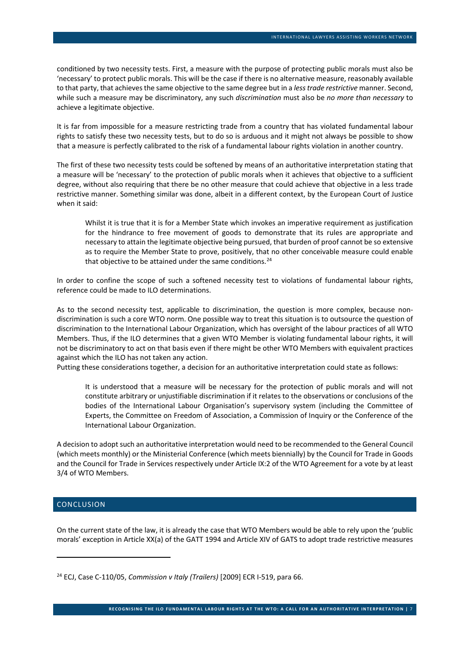conditioned by two necessity tests. First, a measure with the purpose of protecting public morals must also be 'necessary' to protect public morals. This will be the case if there is no alternative measure, reasonably available to that party, that achieves the same objective to the same degree but in a *less trade restrictive* manner. Second, while such a measure may be discriminatory, any such *discrimination* must also be *no more than necessary* to achieve a legitimate objective.

It is far from impossible for a measure restricting trade from a country that has violated fundamental labour rights to satisfy these two necessity tests, but to do so is arduous and it might not always be possible to show that a measure is perfectly calibrated to the risk of a fundamental labour rights violation in another country.

The first of these two necessity tests could be softened by means of an authoritative interpretation stating that a measure will be 'necessary' to the protection of public morals when it achieves that objective to a sufficient degree, without also requiring that there be no other measure that could achieve that objective in a less trade restrictive manner. Something similar was done, albeit in a different context, by the European Court of Justice when it said:

Whilst it is true that it is for a Member State which invokes an imperative requirement as justification for the hindrance to free movement of goods to demonstrate that its rules are appropriate and necessary to attain the legitimate objective being pursued, that burden of proof cannot be so extensive as to require the Member State to prove, positively, that no other conceivable measure could enable that objective to be attained under the same conditions.<sup>[24](#page-7-0)</sup>

In order to confine the scope of such a softened necessity test to violations of fundamental labour rights, reference could be made to ILO determinations.

As to the second necessity test, applicable to discrimination, the question is more complex, because nondiscrimination is such a core WTO norm. One possible way to treat this situation is to outsource the question of discrimination to the International Labour Organization, which has oversight of the labour practices of all WTO Members. Thus, if the ILO determines that a given WTO Member is violating fundamental labour rights, it will not be discriminatory to act on that basis even if there might be other WTO Members with equivalent practices against which the ILO has not taken any action.

Putting these considerations together, a decision for an authoritative interpretation could state as follows:

It is understood that a measure will be necessary for the protection of public morals and will not constitute arbitrary or unjustifiable discrimination if it relates to the observations or conclusions of the bodies of the International Labour Organisation's supervisory system (including the Committee of Experts, the Committee on Freedom of Association, a Commission of Inquiry or the Conference of the International Labour Organization.

A decision to adopt such an authoritative interpretation would need to be recommended to the General Council (which meets monthly) or the Ministerial Conference (which meets biennially) by the Council for Trade in Goods and the Council for Trade in Services respectively under Article IX:2 of the WTO Agreement for a vote by at least 3/4 of WTO Members.

# **CONCLUSION**

On the current state of the law, it is already the case that WTO Members would be able to rely upon the 'public morals' exception in Article XX(a) of the GATT 1994 and Article XIV of GATS to adopt trade restrictive measures

<span id="page-7-0"></span><sup>24</sup> ECJ, Case C-110/05, *Commission v Italy (Trailers)* [2009] ECR I-519, para 66.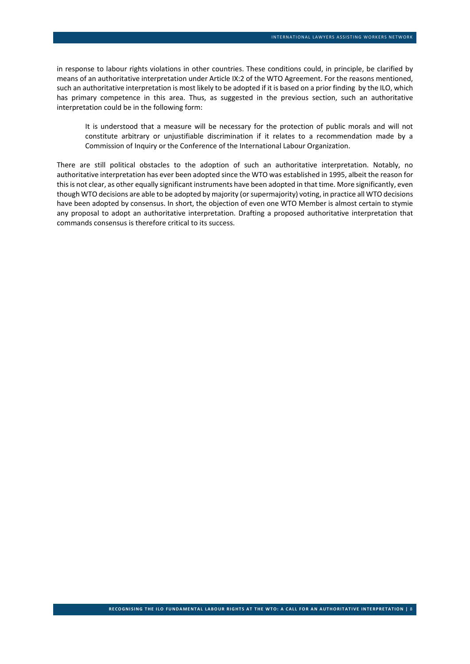in response to labour rights violations in other countries. These conditions could, in principle, be clarified by means of an authoritative interpretation under Article IX:2 of the WTO Agreement. For the reasons mentioned, such an authoritative interpretation is most likely to be adopted if it is based on a prior finding by the ILO, which has primary competence in this area. Thus, as suggested in the previous section, such an authoritative interpretation could be in the following form:

It is understood that a measure will be necessary for the protection of public morals and will not constitute arbitrary or unjustifiable discrimination if it relates to a recommendation made by a Commission of Inquiry or the Conference of the International Labour Organization.

There are still political obstacles to the adoption of such an authoritative interpretation. Notably, no authoritative interpretation has ever been adopted since the WTO was established in 1995, albeit the reason for this is not clear, as other equally significant instruments have been adopted in that time. More significantly, even though WTO decisions are able to be adopted by majority (or supermajority) voting, in practice all WTO decisions have been adopted by consensus. In short, the objection of even one WTO Member is almost certain to stymie any proposal to adopt an authoritative interpretation. Drafting a proposed authoritative interpretation that commands consensus is therefore critical to its success.